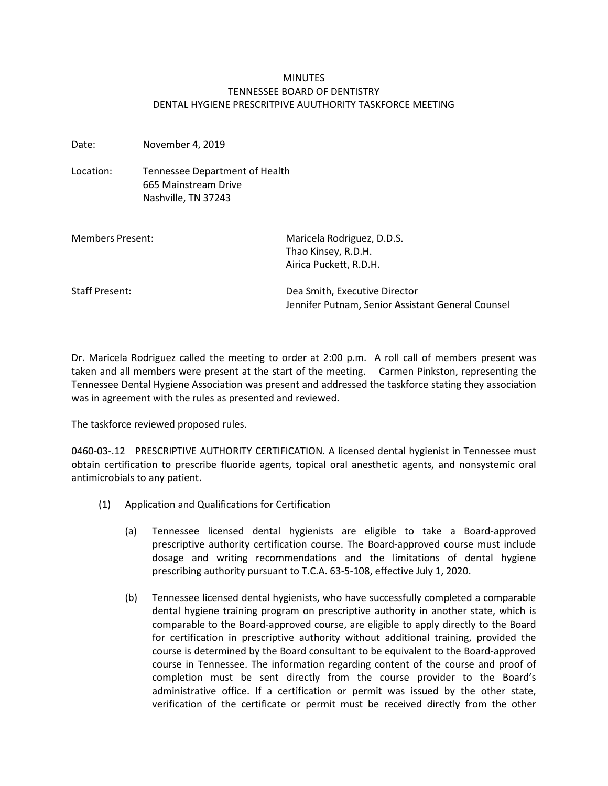## **MINUTES** TENNESSEE BOARD OF DENTISTRY DENTAL HYGIENE PRESCRITPIVE AUUTHORITY TASKFORCE MEETING

Date: November 4, 2019

Location: Tennessee Department of Health 665 Mainstream Drive Nashville, TN 37243

| Members Present:      | Maricela Rodriguez, D.D.S.<br>Thao Kinsey, R.D.H.<br>Airica Puckett, R.D.H.        |
|-----------------------|------------------------------------------------------------------------------------|
| <b>Staff Present:</b> | Dea Smith, Executive Director<br>Jennifer Putnam, Senior Assistant General Counsel |

Dr. Maricela Rodriguez called the meeting to order at 2:00 p.m. A roll call of members present was taken and all members were present at the start of the meeting. Carmen Pinkston, representing the Tennessee Dental Hygiene Association was present and addressed the taskforce stating they association was in agreement with the rules as presented and reviewed.

The taskforce reviewed proposed rules.

0460-03-.12 PRESCRIPTIVE AUTHORITY CERTIFICATION. A licensed dental hygienist in Tennessee must obtain certification to prescribe fluoride agents, topical oral anesthetic agents, and nonsystemic oral antimicrobials to any patient.

- (1) Application and Qualifications for Certification
	- (a) Tennessee licensed dental hygienists are eligible to take a Board-approved prescriptive authority certification course. The Board-approved course must include dosage and writing recommendations and the limitations of dental hygiene prescribing authority pursuant to T.C.A. 63-5-108, effective July 1, 2020.
	- (b) Tennessee licensed dental hygienists, who have successfully completed a comparable dental hygiene training program on prescriptive authority in another state, which is comparable to the Board-approved course, are eligible to apply directly to the Board for certification in prescriptive authority without additional training, provided the course is determined by the Board consultant to be equivalent to the Board-approved course in Tennessee. The information regarding content of the course and proof of completion must be sent directly from the course provider to the Board's administrative office. If a certification or permit was issued by the other state, verification of the certificate or permit must be received directly from the other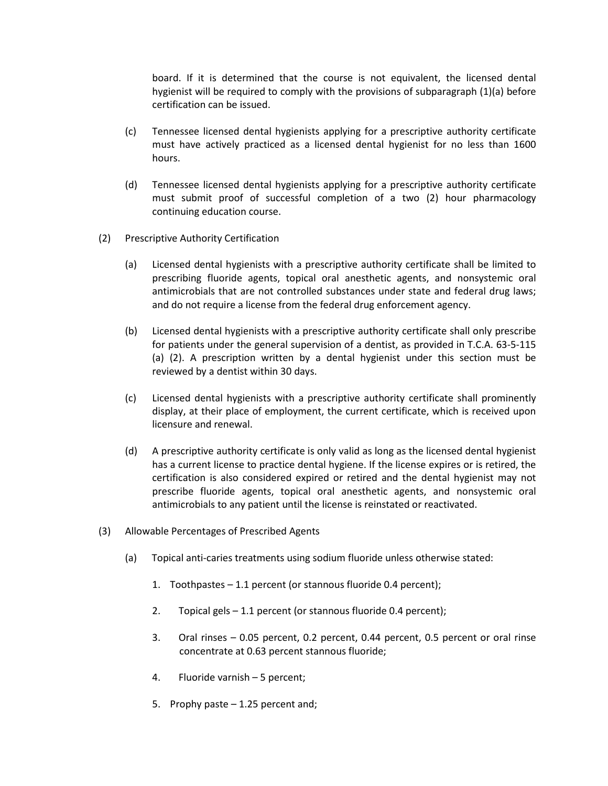board. If it is determined that the course is not equivalent, the licensed dental hygienist will be required to comply with the provisions of subparagraph (1)(a) before certification can be issued.

- (c) Tennessee licensed dental hygienists applying for a prescriptive authority certificate must have actively practiced as a licensed dental hygienist for no less than 1600 hours.
- (d) Tennessee licensed dental hygienists applying for a prescriptive authority certificate must submit proof of successful completion of a two (2) hour pharmacology continuing education course.
- (2) Prescriptive Authority Certification
	- (a) Licensed dental hygienists with a prescriptive authority certificate shall be limited to prescribing fluoride agents, topical oral anesthetic agents, and nonsystemic oral antimicrobials that are not controlled substances under state and federal drug laws; and do not require a license from the federal drug enforcement agency.
	- (b) Licensed dental hygienists with a prescriptive authority certificate shall only prescribe for patients under the general supervision of a dentist, as provided in T.C.A. 63-5-115 (a) (2). A prescription written by a dental hygienist under this section must be reviewed by a dentist within 30 days.
	- (c) Licensed dental hygienists with a prescriptive authority certificate shall prominently display, at their place of employment, the current certificate, which is received upon licensure and renewal.
	- (d) A prescriptive authority certificate is only valid as long as the licensed dental hygienist has a current license to practice dental hygiene. If the license expires or is retired, the certification is also considered expired or retired and the dental hygienist may not prescribe fluoride agents, topical oral anesthetic agents, and nonsystemic oral antimicrobials to any patient until the license is reinstated or reactivated.
- (3) Allowable Percentages of Prescribed Agents
	- (a) Topical anti-caries treatments using sodium fluoride unless otherwise stated:
		- 1. Toothpastes 1.1 percent (or stannous fluoride 0.4 percent);
		- 2. Topical gels 1.1 percent (or stannous fluoride 0.4 percent);
		- 3. Oral rinses 0.05 percent, 0.2 percent, 0.44 percent, 0.5 percent or oral rinse concentrate at 0.63 percent stannous fluoride;
		- 4. Fluoride varnish 5 percent;
		- 5. Prophy paste 1.25 percent and;